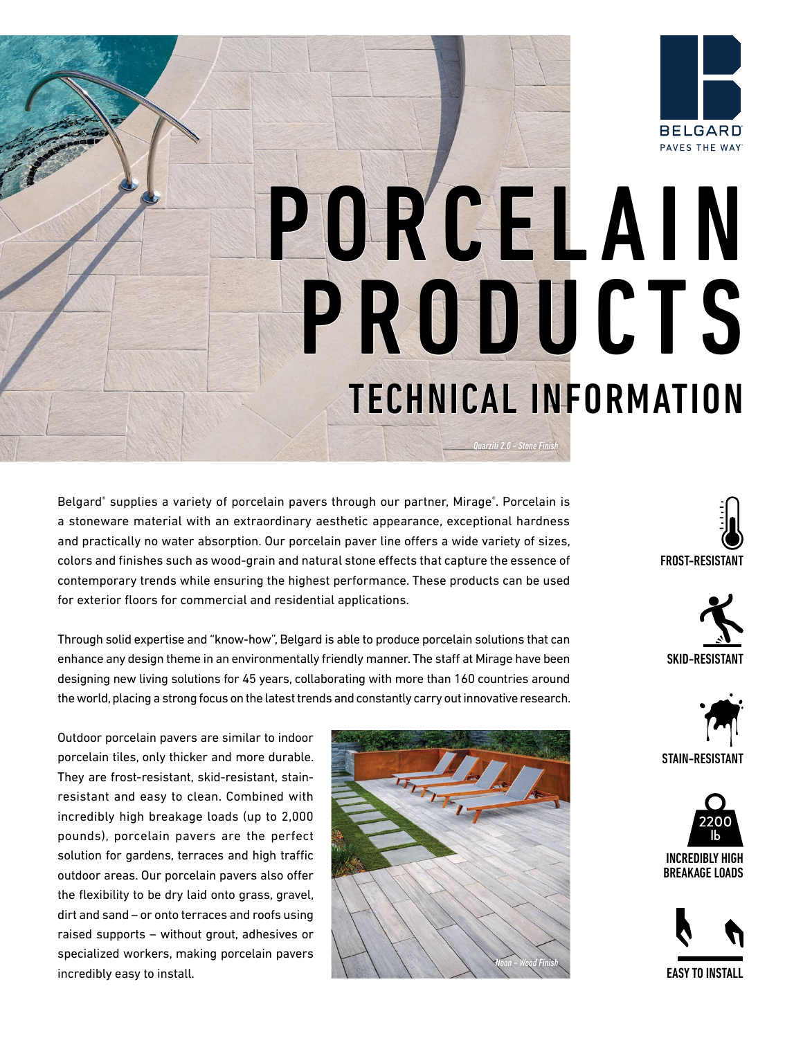

# PAVES THE WAY **PORCELAIN<br>PRODUCTS**<br>TECHNICAL INFORMATION

*Quarziti 2.0 - Stone Finish*

Belgard® supplies a variety of porcelain pavers through our partner, Mirage®. Porcelain is a stoneware material with an extraordinary aesthetic appearance, exceptional hardness and practically no water absorption. Our porcelain paver line offers a wide variety of sizes, colors and finishes such as wood-grain and natural stone effects that capture the essence of contemporary trends while ensuring the highest performance. These products can be used for exterior floors for commercial and residential applications.

Through solid expertise and "know-how", Belgard is able to produce porcelain solutions that can enhance any design theme in an environmentally friendly manner. The staff at Mirage have been designing new living solutions for 45 years, collaborating with more than 160 countries around the world, placing a strong focus on the latest trends and constantly carry out innovative research.

Outdoor porcelain pavers are similar to indoor porcelain tiles, only thicker and more durable. They are frost-resistant, skid-resistant, stainresistant and easy to clean. Combined with incredibly high breakage loads (up to 2,000 pounds), porcelain pavers are the perfect solution for gardens, terraces and high traffic outdoor areas. Our porcelain pavers also offer the flexibility to be dry laid onto grass, gravel, dirt and sand – or onto terraces and roofs using raised supports – without grout, adhesives or specialized workers, making porcelain pavers incredibly easy to install.